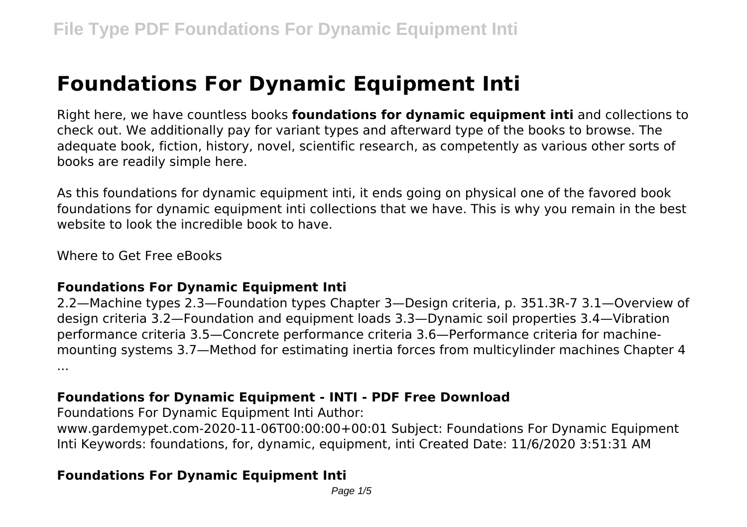# **Foundations For Dynamic Equipment Inti**

Right here, we have countless books **foundations for dynamic equipment inti** and collections to check out. We additionally pay for variant types and afterward type of the books to browse. The adequate book, fiction, history, novel, scientific research, as competently as various other sorts of books are readily simple here.

As this foundations for dynamic equipment inti, it ends going on physical one of the favored book foundations for dynamic equipment inti collections that we have. This is why you remain in the best website to look the incredible book to have

Where to Get Free eBooks

#### **Foundations For Dynamic Equipment Inti**

2.2—Machine types 2.3—Foundation types Chapter 3—Design criteria, p. 351.3R-7 3.1—Overview of design criteria 3.2—Foundation and equipment loads 3.3—Dynamic soil properties 3.4—Vibration performance criteria 3.5—Concrete performance criteria 3.6—Performance criteria for machinemounting systems 3.7—Method for estimating inertia forces from multicylinder machines Chapter 4 ...

# **Foundations for Dynamic Equipment - INTI - PDF Free Download**

Foundations For Dynamic Equipment Inti Author:

www.gardemypet.com-2020-11-06T00:00:00+00:01 Subject: Foundations For Dynamic Equipment Inti Keywords: foundations, for, dynamic, equipment, inti Created Date: 11/6/2020 3:51:31 AM

# **Foundations For Dynamic Equipment Inti**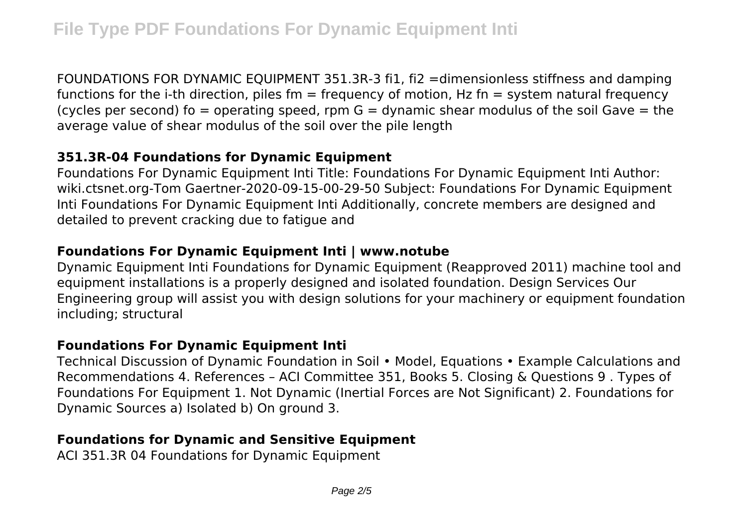FOUNDATIONS FOR DYNAMIC EQUIPMENT 351.3R-3 fi1, fi2 =dimensionless stiffness and damping functions for the i-th direction, piles fm  $=$  frequency of motion, Hz fn  $=$  system natural frequency (cycles per second) fo = operating speed, rpm  $G =$  dynamic shear modulus of the soil Gave = the average value of shear modulus of the soil over the pile length

#### **351.3R-04 Foundations for Dynamic Equipment**

Foundations For Dynamic Equipment Inti Title: Foundations For Dynamic Equipment Inti Author: wiki.ctsnet.org-Tom Gaertner-2020-09-15-00-29-50 Subject: Foundations For Dynamic Equipment Inti Foundations For Dynamic Equipment Inti Additionally, concrete members are designed and detailed to prevent cracking due to fatigue and

# **Foundations For Dynamic Equipment Inti | www.notube**

Dynamic Equipment Inti Foundations for Dynamic Equipment (Reapproved 2011) machine tool and equipment installations is a properly designed and isolated foundation. Design Services Our Engineering group will assist you with design solutions for your machinery or equipment foundation including; structural

# **Foundations For Dynamic Equipment Inti**

Technical Discussion of Dynamic Foundation in Soil • Model, Equations • Example Calculations and Recommendations 4. References – ACI Committee 351, Books 5. Closing & Questions 9 . Types of Foundations For Equipment 1. Not Dynamic (Inertial Forces are Not Significant) 2. Foundations for Dynamic Sources a) Isolated b) On ground 3.

# **Foundations for Dynamic and Sensitive Equipment**

ACI 351.3R 04 Foundations for Dynamic Equipment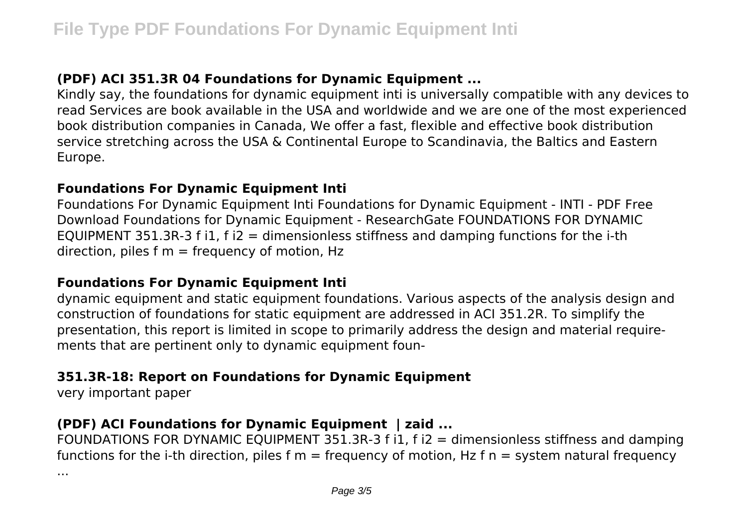# **(PDF) ACI 351.3R 04 Foundations for Dynamic Equipment ...**

Kindly say, the foundations for dynamic equipment inti is universally compatible with any devices to read Services are book available in the USA and worldwide and we are one of the most experienced book distribution companies in Canada, We offer a fast, flexible and effective book distribution service stretching across the USA & Continental Europe to Scandinavia, the Baltics and Eastern Europe.

#### **Foundations For Dynamic Equipment Inti**

Foundations For Dynamic Equipment Inti Foundations for Dynamic Equipment - INTI - PDF Free Download Foundations for Dynamic Equipment - ResearchGate FOUNDATIONS FOR DYNAMIC EQUIPMENT 351.3R-3 f i1, f i2 = dimensionless stiffness and damping functions for the i-th direction, piles  $f_m = f_{\text{require}}$  of motion, Hz

# **Foundations For Dynamic Equipment Inti**

dynamic equipment and static equipment foundations. Various aspects of the analysis design and construction of foundations for static equipment are addressed in ACI 351.2R. To simplify the presentation, this report is limited in scope to primarily address the design and material requirements that are pertinent only to dynamic equipment foun-

# **351.3R-18: Report on Foundations for Dynamic Equipment**

very important paper

# **(PDF) ACI Foundations for Dynamic Equipment | zaid ...**

FOUNDATIONS FOR DYNAMIC EQUIPMENT 351.3R-3 f i1, f i2 = dimensionless stiffness and damping functions for the i-th direction, piles f  $m =$  frequency of motion, Hz f  $n =$  system natural frequency

...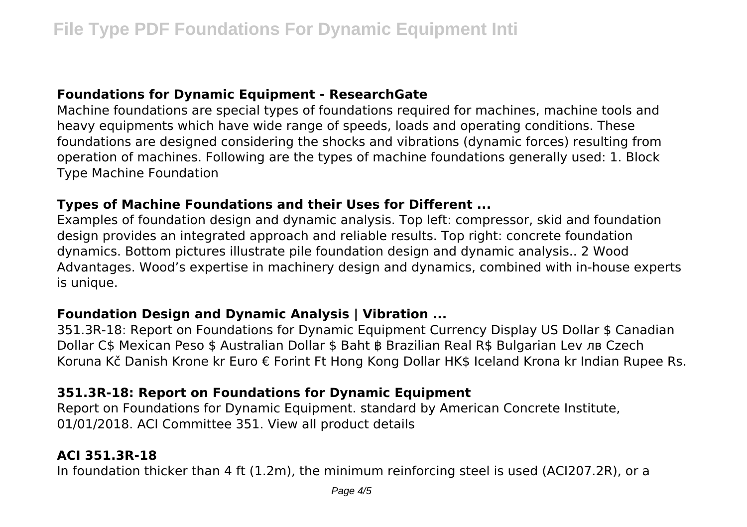#### **Foundations for Dynamic Equipment - ResearchGate**

Machine foundations are special types of foundations required for machines, machine tools and heavy equipments which have wide range of speeds, loads and operating conditions. These foundations are designed considering the shocks and vibrations (dynamic forces) resulting from operation of machines. Following are the types of machine foundations generally used: 1. Block Type Machine Foundation

#### **Types of Machine Foundations and their Uses for Different ...**

Examples of foundation design and dynamic analysis. Top left: compressor, skid and foundation design provides an integrated approach and reliable results. Top right: concrete foundation dynamics. Bottom pictures illustrate pile foundation design and dynamic analysis.. 2 Wood Advantages. Wood's expertise in machinery design and dynamics, combined with in-house experts is unique.

#### **Foundation Design and Dynamic Analysis | Vibration ...**

351.3R-18: Report on Foundations for Dynamic Equipment Currency Display US Dollar \$ Canadian Dollar C\$ Mexican Peso \$ Australian Dollar \$ Baht ฿ Brazilian Real R\$ Bulgarian Lev лв Czech Koruna Kč Danish Krone kr Euro € Forint Ft Hong Kong Dollar HK\$ Iceland Krona kr Indian Rupee Rs.

# **351.3R-18: Report on Foundations for Dynamic Equipment**

Report on Foundations for Dynamic Equipment. standard by American Concrete Institute, 01/01/2018. ACI Committee 351. View all product details

# **ACI 351.3R-18**

In foundation thicker than 4 ft (1.2m), the minimum reinforcing steel is used (ACI207.2R), or a